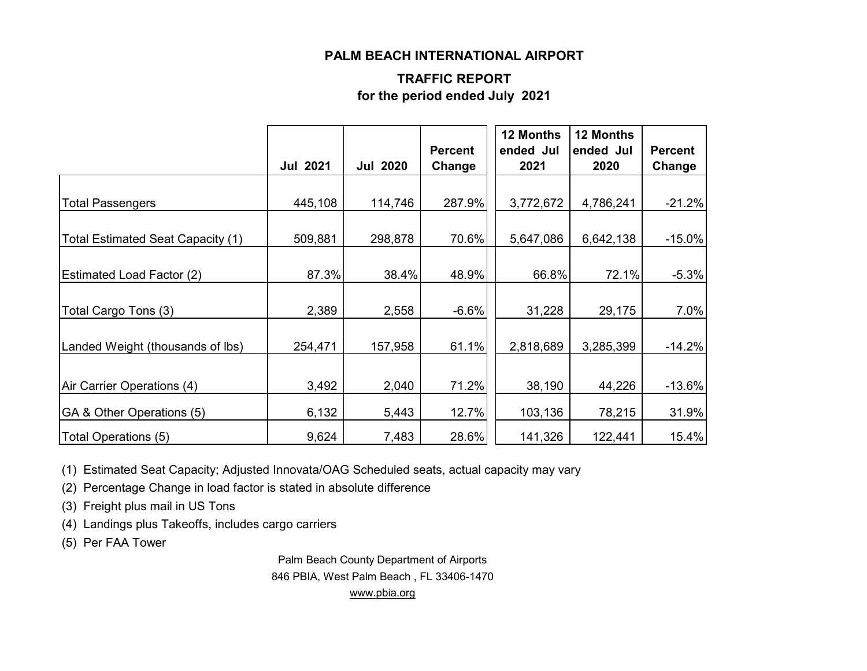#### **PALM BEACH INTERNATIONAL AIRPORT**

### **TRAFFIC REPORT for the period ended July 2021**

|                                   | <b>Jul 2021</b> | <b>Jul 2020</b> | <b>Percent</b><br>Change | 12 Months<br>ended Jul<br>2021 | <b>12 Months</b><br>ended Jul<br>2020 | <b>Percent</b><br>Change |
|-----------------------------------|-----------------|-----------------|--------------------------|--------------------------------|---------------------------------------|--------------------------|
| <b>Total Passengers</b>           | 445,108         | 114,746         | 287.9%                   | 3,772,672                      | 4,786,241                             | $-21.2%$                 |
| Total Estimated Seat Capacity (1) | 509,881         | 298,878         | 70.6%                    | 5,647,086                      | 6,642,138                             | $-15.0%$                 |
| <b>Estimated Load Factor (2)</b>  | 87.3%           | 38.4%           | 48.9%                    | 66.8%                          | 72.1%                                 | $-5.3%$                  |
| Total Cargo Tons (3)              | 2,389           | 2,558           | $-6.6%$                  | 31,228                         | 29,175                                | 7.0%                     |
| Landed Weight (thousands of lbs)  | 254,471         | 157,958         | 61.1%                    | 2,818,689                      | 3,285,399                             | $-14.2%$                 |
| Air Carrier Operations (4)        | 3,492           | 2,040           | 71.2%                    | 38,190                         | 44,226                                | $-13.6%$                 |
| GA & Other Operations (5)         | 6,132           | 5,443           | 12.7%                    | 103,136                        | 78,215                                | 31.9%                    |
| Total Operations (5)              | 9,624           | 7,483           | 28.6%                    | 141,326                        | 122,441                               | 15.4%                    |

(1) Estimated Seat Capacity; Adjusted Innovata/OAG Scheduled seats, actual capacity may vary

(2) Percentage Change in load factor is stated in absolute difference

(3) Freight plus mail in US Tons

(4) Landings plus Takeoffs, includes cargo carriers

(5) Per FAA Tower

Palm Beach County Department of Airports 846 PBIA, West Palm Beach , FL 33406-1470 [www.pbia.org](http://www.pbia.org/)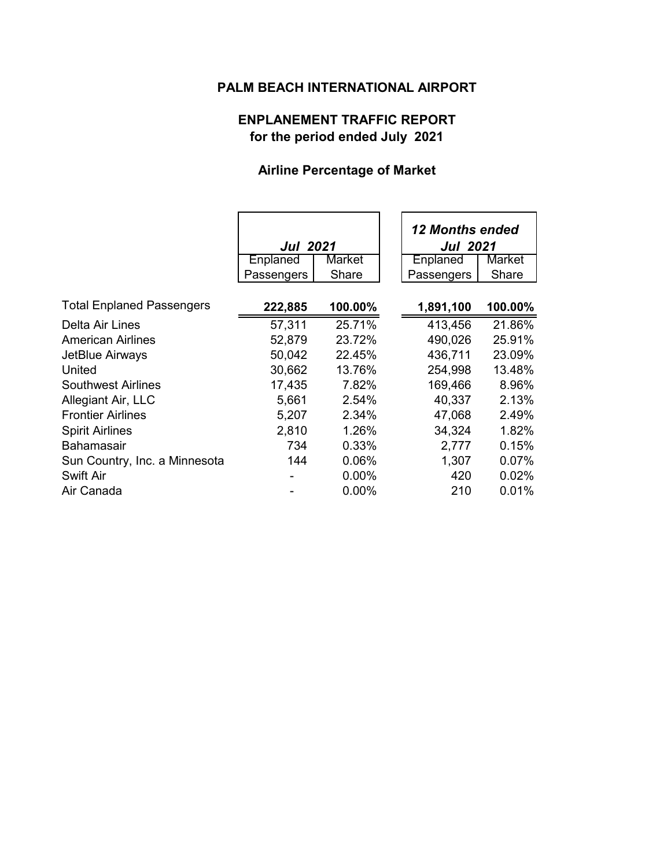## **PALM BEACH INTERNATIONAL AIRPORT**

# **ENPLANEMENT TRAFFIC REPORT for the period ended July 2021**

## **Airline Percentage of Market**

|                                  | <b>Jul 2021</b> |         | <b>12 Months ended</b><br><b>Jul 2021</b> |         |
|----------------------------------|-----------------|---------|-------------------------------------------|---------|
|                                  | Enplaned        | Market  | Enplaned                                  | Market  |
|                                  | Passengers      | Share   | Passengers                                | Share   |
| <b>Total Enplaned Passengers</b> | 222,885         | 100.00% | 1,891,100                                 | 100.00% |
| Delta Air Lines                  | 57,311          | 25.71%  | 413,456                                   | 21.86%  |
| <b>American Airlines</b>         | 52,879          | 23.72%  | 490,026                                   | 25.91%  |
| JetBlue Airways                  | 50,042          | 22.45%  | 436,711                                   | 23.09%  |
| United                           | 30,662          | 13.76%  | 254,998                                   | 13.48%  |
| <b>Southwest Airlines</b>        | 17,435          | 7.82%   | 169,466                                   | 8.96%   |
| Allegiant Air, LLC               | 5,661           | 2.54%   | 40,337                                    | 2.13%   |
| <b>Frontier Airlines</b>         | 5,207           | 2.34%   | 47,068                                    | 2.49%   |
| <b>Spirit Airlines</b>           | 2,810           | 1.26%   | 34,324                                    | 1.82%   |
| <b>Bahamasair</b>                | 734             | 0.33%   | 2,777                                     | 0.15%   |
| Sun Country, Inc. a Minnesota    | 144             | 0.06%   | 1,307                                     | 0.07%   |
| <b>Swift Air</b>                 |                 | 0.00%   | 420                                       | 0.02%   |
| Air Canada                       |                 | 0.00%   | 210                                       | 0.01%   |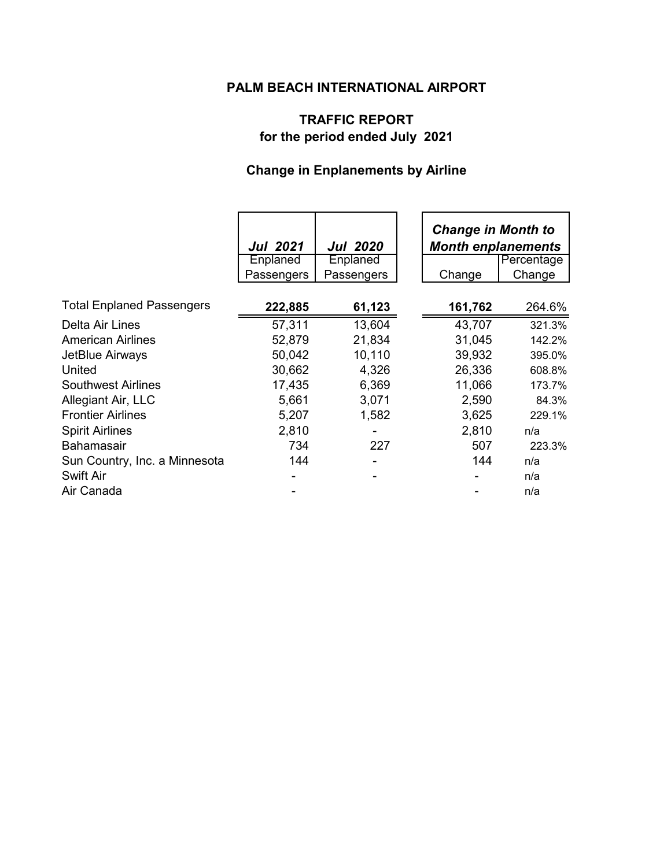## **PALM BEACH INTERNATIONAL AIRPORT**

# **TRAFFIC REPORT for the period ended July 2021**

# **Change in Enplanements by Airline**

|                                  | <b>Jul 2021</b> | <b>Jul 2020</b> | <b>Change in Month to</b><br><b>Month enplanements</b> |            |
|----------------------------------|-----------------|-----------------|--------------------------------------------------------|------------|
|                                  | Enplaned        | Enplaned        |                                                        | Percentage |
|                                  | Passengers      | Passengers      | Change                                                 | Change     |
| <b>Total Enplaned Passengers</b> | 222,885         | 61,123          | 161,762                                                | 264.6%     |
| Delta Air Lines                  | 57,311          | 13,604          | 43,707                                                 | 321.3%     |
| <b>American Airlines</b>         | 52,879          | 21,834          | 31,045                                                 | 142.2%     |
| JetBlue Airways                  | 50,042          | 10,110          | 39,932                                                 | 395.0%     |
| United                           | 30,662          | 4,326           | 26,336                                                 | 608.8%     |
| <b>Southwest Airlines</b>        | 17,435          | 6,369           | 11,066                                                 | 173.7%     |
| Allegiant Air, LLC               | 5,661           | 3,071           | 2,590                                                  | 84.3%      |
| <b>Frontier Airlines</b>         | 5,207           | 1,582           | 3,625                                                  | 229.1%     |
| <b>Spirit Airlines</b>           | 2,810           |                 | 2,810                                                  | n/a        |
| <b>Bahamasair</b>                | 734             | 227             | 507                                                    | 223.3%     |
| Sun Country, Inc. a Minnesota    | 144             |                 | 144                                                    | n/a        |
| Swift Air                        |                 |                 |                                                        | n/a        |
| Air Canada                       |                 |                 |                                                        | n/a        |